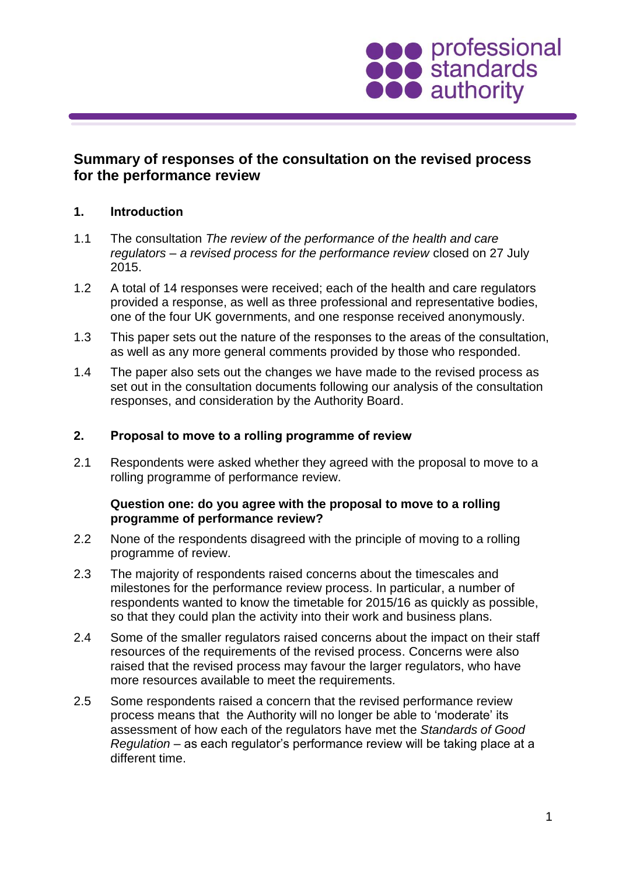

# **Summary of responses of the consultation on the revised process for the performance review**

# **1. Introduction**

- 1.1 The consultation *The review of the performance of the health and care regulators – a revised process for the performance review* closed on 27 July 2015.
- 1.2 A total of 14 responses were received; each of the health and care regulators provided a response, as well as three professional and representative bodies, one of the four UK governments, and one response received anonymously.
- 1.3 This paper sets out the nature of the responses to the areas of the consultation, as well as any more general comments provided by those who responded.
- 1.4 The paper also sets out the changes we have made to the revised process as set out in the consultation documents following our analysis of the consultation responses, and consideration by the Authority Board.

### **2. Proposal to move to a rolling programme of review**

2.1 Respondents were asked whether they agreed with the proposal to move to a rolling programme of performance review.

### **Question one: do you agree with the proposal to move to a rolling programme of performance review?**

- 2.2 None of the respondents disagreed with the principle of moving to a rolling programme of review.
- 2.3 The majority of respondents raised concerns about the timescales and milestones for the performance review process. In particular, a number of respondents wanted to know the timetable for 2015/16 as quickly as possible, so that they could plan the activity into their work and business plans.
- 2.4 Some of the smaller regulators raised concerns about the impact on their staff resources of the requirements of the revised process. Concerns were also raised that the revised process may favour the larger regulators, who have more resources available to meet the requirements.
- 2.5 Some respondents raised a concern that the revised performance review process means that the Authority will no longer be able to 'moderate' its assessment of how each of the regulators have met the *Standards of Good Regulation* – as each regulator's performance review will be taking place at a different time.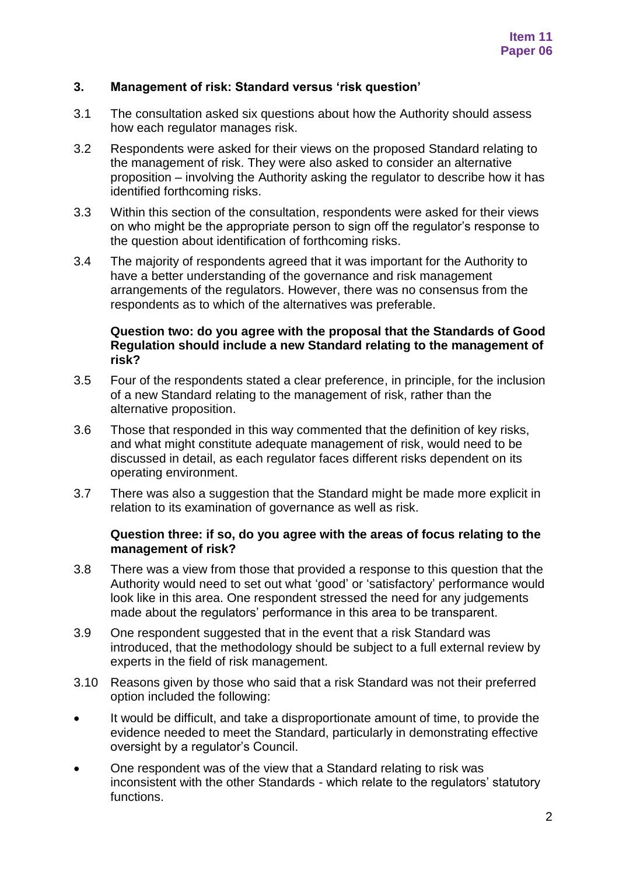### **3. Management of risk: Standard versus 'risk question'**

- 3.1 The consultation asked six questions about how the Authority should assess how each regulator manages risk.
- 3.2 Respondents were asked for their views on the proposed Standard relating to the management of risk. They were also asked to consider an alternative proposition – involving the Authority asking the regulator to describe how it has identified forthcoming risks.
- 3.3 Within this section of the consultation, respondents were asked for their views on who might be the appropriate person to sign off the regulator's response to the question about identification of forthcoming risks.
- 3.4 The majority of respondents agreed that it was important for the Authority to have a better understanding of the governance and risk management arrangements of the regulators. However, there was no consensus from the respondents as to which of the alternatives was preferable.

### **Question two: do you agree with the proposal that the Standards of Good Regulation should include a new Standard relating to the management of risk?**

- 3.5 Four of the respondents stated a clear preference, in principle, for the inclusion of a new Standard relating to the management of risk, rather than the alternative proposition.
- 3.6 Those that responded in this way commented that the definition of key risks, and what might constitute adequate management of risk, would need to be discussed in detail, as each regulator faces different risks dependent on its operating environment.
- 3.7 There was also a suggestion that the Standard might be made more explicit in relation to its examination of governance as well as risk.

#### **Question three: if so, do you agree with the areas of focus relating to the management of risk?**

- 3.8 There was a view from those that provided a response to this question that the Authority would need to set out what 'good' or 'satisfactory' performance would look like in this area. One respondent stressed the need for any judgements made about the regulators' performance in this area to be transparent.
- 3.9 One respondent suggested that in the event that a risk Standard was introduced, that the methodology should be subject to a full external review by experts in the field of risk management.
- 3.10 Reasons given by those who said that a risk Standard was not their preferred option included the following:
- It would be difficult, and take a disproportionate amount of time, to provide the evidence needed to meet the Standard, particularly in demonstrating effective oversight by a regulator's Council.
- One respondent was of the view that a Standard relating to risk was inconsistent with the other Standards - which relate to the regulators' statutory functions.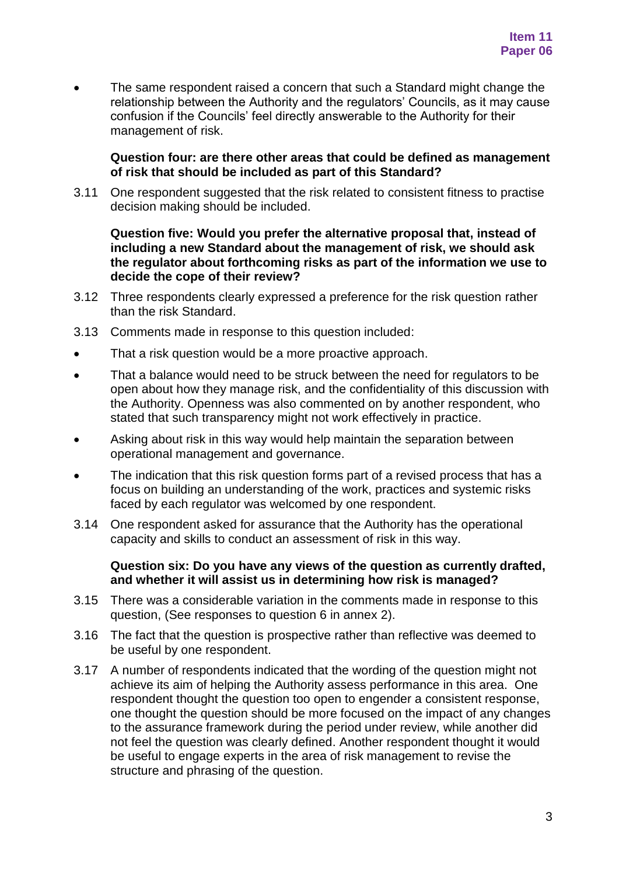The same respondent raised a concern that such a Standard might change the relationship between the Authority and the regulators' Councils, as it may cause confusion if the Councils' feel directly answerable to the Authority for their management of risk.

#### **Question four: are there other areas that could be defined as management of risk that should be included as part of this Standard?**

3.11 One respondent suggested that the risk related to consistent fitness to practise decision making should be included.

### **Question five: Would you prefer the alternative proposal that, instead of including a new Standard about the management of risk, we should ask the regulator about forthcoming risks as part of the information we use to decide the cope of their review?**

- 3.12 Three respondents clearly expressed a preference for the risk question rather than the risk Standard.
- 3.13 Comments made in response to this question included:
- That a risk question would be a more proactive approach.
- That a balance would need to be struck between the need for regulators to be open about how they manage risk, and the confidentiality of this discussion with the Authority. Openness was also commented on by another respondent, who stated that such transparency might not work effectively in practice.
- Asking about risk in this way would help maintain the separation between operational management and governance.
- The indication that this risk question forms part of a revised process that has a focus on building an understanding of the work, practices and systemic risks faced by each regulator was welcomed by one respondent.
- 3.14 One respondent asked for assurance that the Authority has the operational capacity and skills to conduct an assessment of risk in this way.

#### **Question six: Do you have any views of the question as currently drafted, and whether it will assist us in determining how risk is managed?**

- 3.15 There was a considerable variation in the comments made in response to this question, (See responses to question 6 in annex 2).
- 3.16 The fact that the question is prospective rather than reflective was deemed to be useful by one respondent.
- 3.17 A number of respondents indicated that the wording of the question might not achieve its aim of helping the Authority assess performance in this area. One respondent thought the question too open to engender a consistent response, one thought the question should be more focused on the impact of any changes to the assurance framework during the period under review, while another did not feel the question was clearly defined. Another respondent thought it would be useful to engage experts in the area of risk management to revise the structure and phrasing of the question.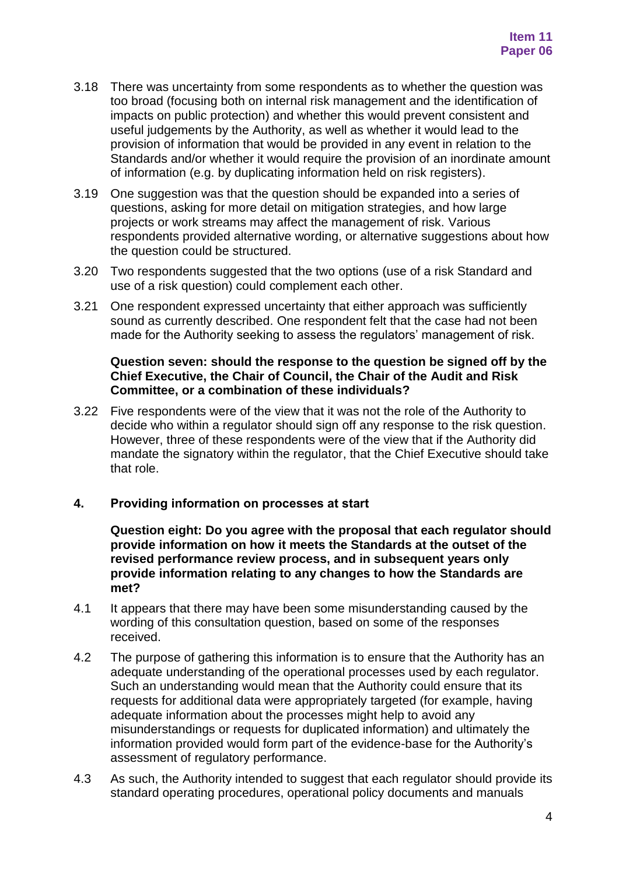- 3.18 There was uncertainty from some respondents as to whether the question was too broad (focusing both on internal risk management and the identification of impacts on public protection) and whether this would prevent consistent and useful judgements by the Authority, as well as whether it would lead to the provision of information that would be provided in any event in relation to the Standards and/or whether it would require the provision of an inordinate amount of information (e.g. by duplicating information held on risk registers).
- 3.19 One suggestion was that the question should be expanded into a series of questions, asking for more detail on mitigation strategies, and how large projects or work streams may affect the management of risk. Various respondents provided alternative wording, or alternative suggestions about how the question could be structured.
- 3.20 Two respondents suggested that the two options (use of a risk Standard and use of a risk question) could complement each other.
- 3.21 One respondent expressed uncertainty that either approach was sufficiently sound as currently described. One respondent felt that the case had not been made for the Authority seeking to assess the regulators' management of risk.

## **Question seven: should the response to the question be signed off by the Chief Executive, the Chair of Council, the Chair of the Audit and Risk Committee, or a combination of these individuals?**

3.22 Five respondents were of the view that it was not the role of the Authority to decide who within a regulator should sign off any response to the risk question. However, three of these respondents were of the view that if the Authority did mandate the signatory within the regulator, that the Chief Executive should take that role.

# **4. Providing information on processes at start**

**Question eight: Do you agree with the proposal that each regulator should provide information on how it meets the Standards at the outset of the revised performance review process, and in subsequent years only provide information relating to any changes to how the Standards are met?**

- 4.1 It appears that there may have been some misunderstanding caused by the wording of this consultation question, based on some of the responses received.
- 4.2 The purpose of gathering this information is to ensure that the Authority has an adequate understanding of the operational processes used by each regulator. Such an understanding would mean that the Authority could ensure that its requests for additional data were appropriately targeted (for example, having adequate information about the processes might help to avoid any misunderstandings or requests for duplicated information) and ultimately the information provided would form part of the evidence-base for the Authority's assessment of regulatory performance.
- 4.3 As such, the Authority intended to suggest that each regulator should provide its standard operating procedures, operational policy documents and manuals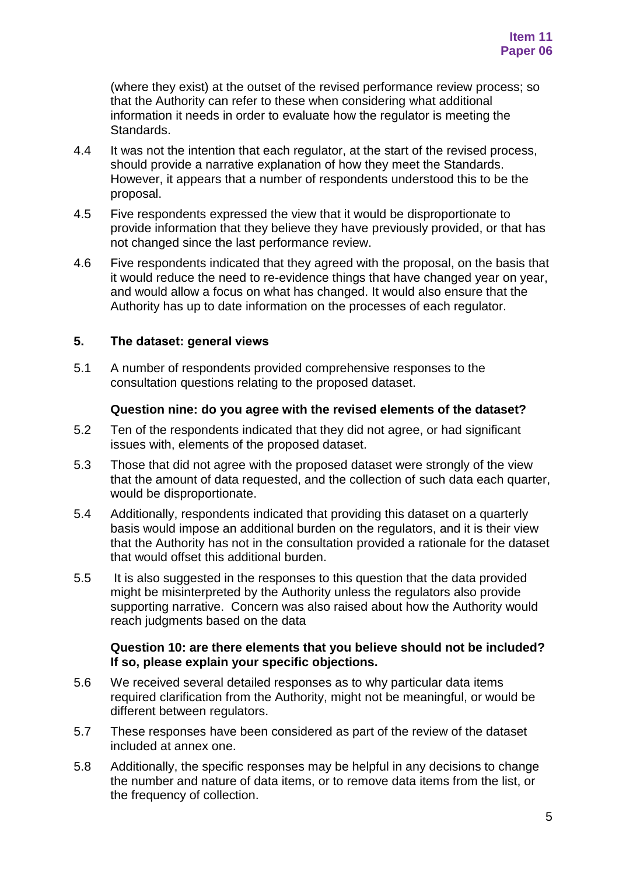(where they exist) at the outset of the revised performance review process; so that the Authority can refer to these when considering what additional information it needs in order to evaluate how the regulator is meeting the Standards.

- 4.4 It was not the intention that each regulator, at the start of the revised process, should provide a narrative explanation of how they meet the Standards. However, it appears that a number of respondents understood this to be the proposal.
- 4.5 Five respondents expressed the view that it would be disproportionate to provide information that they believe they have previously provided, or that has not changed since the last performance review.
- 4.6 Five respondents indicated that they agreed with the proposal, on the basis that it would reduce the need to re-evidence things that have changed year on year, and would allow a focus on what has changed. It would also ensure that the Authority has up to date information on the processes of each regulator.

# **5. The dataset: general views**

5.1 A number of respondents provided comprehensive responses to the consultation questions relating to the proposed dataset.

### **Question nine: do you agree with the revised elements of the dataset?**

- 5.2 Ten of the respondents indicated that they did not agree, or had significant issues with, elements of the proposed dataset.
- 5.3 Those that did not agree with the proposed dataset were strongly of the view that the amount of data requested, and the collection of such data each quarter, would be disproportionate.
- 5.4 Additionally, respondents indicated that providing this dataset on a quarterly basis would impose an additional burden on the regulators, and it is their view that the Authority has not in the consultation provided a rationale for the dataset that would offset this additional burden.
- 5.5 It is also suggested in the responses to this question that the data provided might be misinterpreted by the Authority unless the regulators also provide supporting narrative. Concern was also raised about how the Authority would reach judgments based on the data

### **Question 10: are there elements that you believe should not be included? If so, please explain your specific objections.**

- 5.6 We received several detailed responses as to why particular data items required clarification from the Authority, might not be meaningful, or would be different between regulators.
- 5.7 These responses have been considered as part of the review of the dataset included at annex one.
- 5.8 Additionally, the specific responses may be helpful in any decisions to change the number and nature of data items, or to remove data items from the list, or the frequency of collection.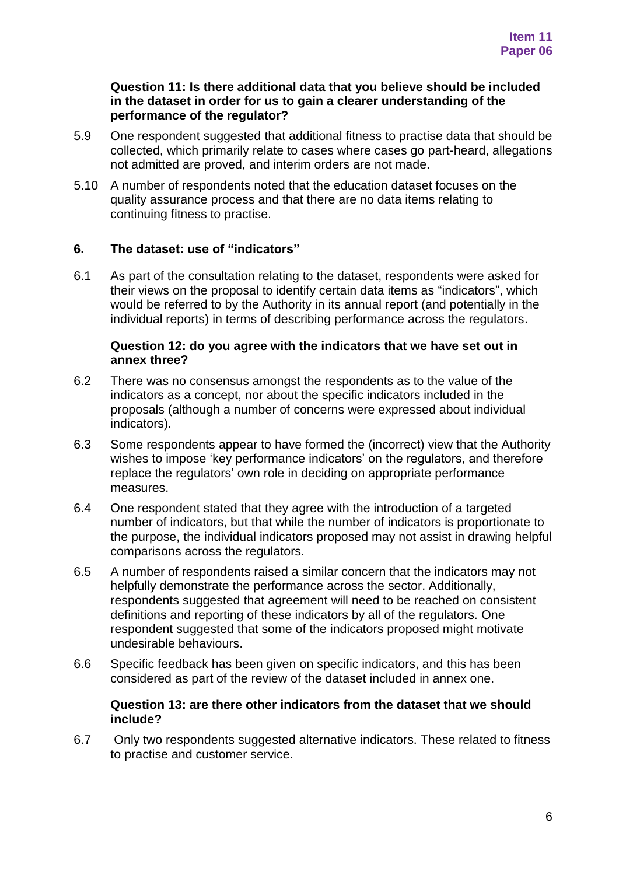### **Question 11: Is there additional data that you believe should be included in the dataset in order for us to gain a clearer understanding of the performance of the regulator?**

- 5.9 One respondent suggested that additional fitness to practise data that should be collected, which primarily relate to cases where cases go part-heard, allegations not admitted are proved, and interim orders are not made.
- 5.10 A number of respondents noted that the education dataset focuses on the quality assurance process and that there are no data items relating to continuing fitness to practise.

# **6. The dataset: use of "indicators"**

6.1 As part of the consultation relating to the dataset, respondents were asked for their views on the proposal to identify certain data items as "indicators", which would be referred to by the Authority in its annual report (and potentially in the individual reports) in terms of describing performance across the regulators.

#### **Question 12: do you agree with the indicators that we have set out in annex three?**

- 6.2 There was no consensus amongst the respondents as to the value of the indicators as a concept, nor about the specific indicators included in the proposals (although a number of concerns were expressed about individual indicators).
- 6.3 Some respondents appear to have formed the (incorrect) view that the Authority wishes to impose 'key performance indicators' on the regulators, and therefore replace the regulators' own role in deciding on appropriate performance measures.
- 6.4 One respondent stated that they agree with the introduction of a targeted number of indicators, but that while the number of indicators is proportionate to the purpose, the individual indicators proposed may not assist in drawing helpful comparisons across the regulators.
- 6.5 A number of respondents raised a similar concern that the indicators may not helpfully demonstrate the performance across the sector. Additionally, respondents suggested that agreement will need to be reached on consistent definitions and reporting of these indicators by all of the regulators. One respondent suggested that some of the indicators proposed might motivate undesirable behaviours.
- 6.6 Specific feedback has been given on specific indicators, and this has been considered as part of the review of the dataset included in annex one.

### **Question 13: are there other indicators from the dataset that we should include?**

6.7 Only two respondents suggested alternative indicators. These related to fitness to practise and customer service.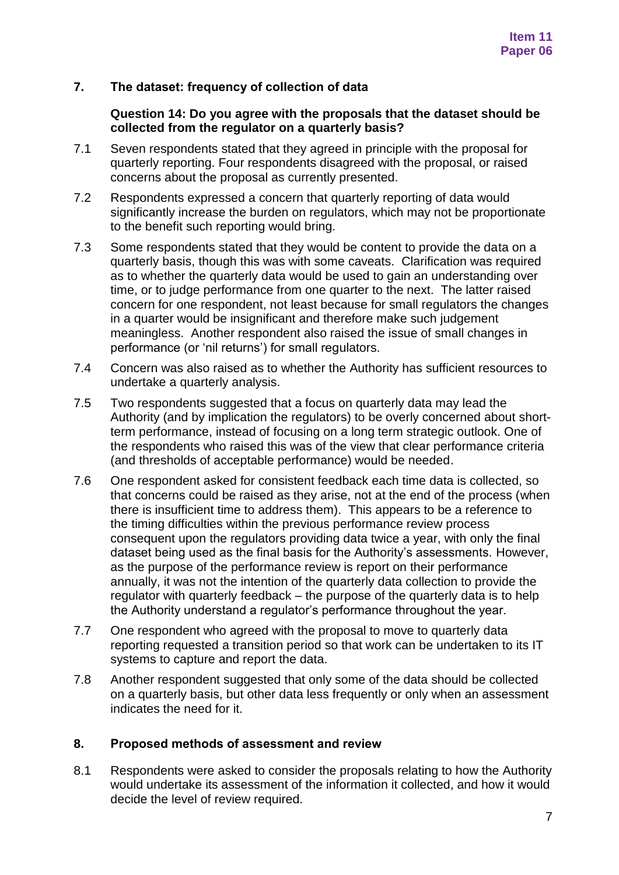## **7. The dataset: frequency of collection of data**

### **Question 14: Do you agree with the proposals that the dataset should be collected from the regulator on a quarterly basis?**

- 7.1 Seven respondents stated that they agreed in principle with the proposal for quarterly reporting. Four respondents disagreed with the proposal, or raised concerns about the proposal as currently presented.
- 7.2 Respondents expressed a concern that quarterly reporting of data would significantly increase the burden on regulators, which may not be proportionate to the benefit such reporting would bring.
- 7.3 Some respondents stated that they would be content to provide the data on a quarterly basis, though this was with some caveats. Clarification was required as to whether the quarterly data would be used to gain an understanding over time, or to judge performance from one quarter to the next. The latter raised concern for one respondent, not least because for small regulators the changes in a quarter would be insignificant and therefore make such judgement meaningless. Another respondent also raised the issue of small changes in performance (or 'nil returns') for small regulators.
- 7.4 Concern was also raised as to whether the Authority has sufficient resources to undertake a quarterly analysis.
- 7.5 Two respondents suggested that a focus on quarterly data may lead the Authority (and by implication the regulators) to be overly concerned about shortterm performance, instead of focusing on a long term strategic outlook. One of the respondents who raised this was of the view that clear performance criteria (and thresholds of acceptable performance) would be needed.
- 7.6 One respondent asked for consistent feedback each time data is collected, so that concerns could be raised as they arise, not at the end of the process (when there is insufficient time to address them). This appears to be a reference to the timing difficulties within the previous performance review process consequent upon the regulators providing data twice a year, with only the final dataset being used as the final basis for the Authority's assessments. However, as the purpose of the performance review is report on their performance annually, it was not the intention of the quarterly data collection to provide the regulator with quarterly feedback – the purpose of the quarterly data is to help the Authority understand a regulator's performance throughout the year.
- 7.7 One respondent who agreed with the proposal to move to quarterly data reporting requested a transition period so that work can be undertaken to its IT systems to capture and report the data.
- 7.8 Another respondent suggested that only some of the data should be collected on a quarterly basis, but other data less frequently or only when an assessment indicates the need for it.

### **8. Proposed methods of assessment and review**

8.1 Respondents were asked to consider the proposals relating to how the Authority would undertake its assessment of the information it collected, and how it would decide the level of review required.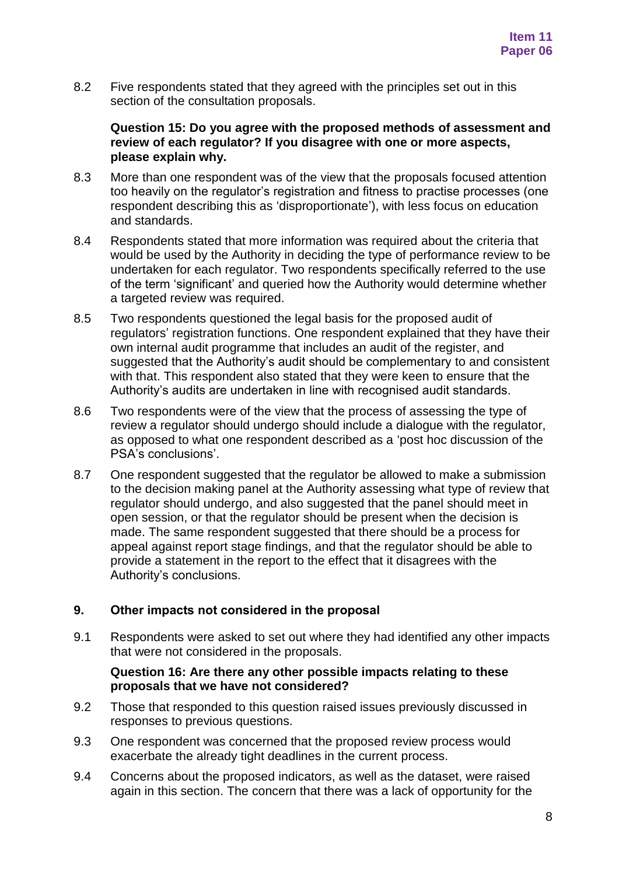8.2 Five respondents stated that they agreed with the principles set out in this section of the consultation proposals.

#### **Question 15: Do you agree with the proposed methods of assessment and review of each regulator? If you disagree with one or more aspects, please explain why.**

- 8.3 More than one respondent was of the view that the proposals focused attention too heavily on the regulator's registration and fitness to practise processes (one respondent describing this as 'disproportionate'), with less focus on education and standards.
- 8.4 Respondents stated that more information was required about the criteria that would be used by the Authority in deciding the type of performance review to be undertaken for each regulator. Two respondents specifically referred to the use of the term 'significant' and queried how the Authority would determine whether a targeted review was required.
- 8.5 Two respondents questioned the legal basis for the proposed audit of regulators' registration functions. One respondent explained that they have their own internal audit programme that includes an audit of the register, and suggested that the Authority's audit should be complementary to and consistent with that. This respondent also stated that they were keen to ensure that the Authority's audits are undertaken in line with recognised audit standards.
- 8.6 Two respondents were of the view that the process of assessing the type of review a regulator should undergo should include a dialogue with the regulator, as opposed to what one respondent described as a 'post hoc discussion of the PSA's conclusions'.
- 8.7 One respondent suggested that the regulator be allowed to make a submission to the decision making panel at the Authority assessing what type of review that regulator should undergo, and also suggested that the panel should meet in open session, or that the regulator should be present when the decision is made. The same respondent suggested that there should be a process for appeal against report stage findings, and that the regulator should be able to provide a statement in the report to the effect that it disagrees with the Authority's conclusions.

# **9. Other impacts not considered in the proposal**

9.1 Respondents were asked to set out where they had identified any other impacts that were not considered in the proposals.

### **Question 16: Are there any other possible impacts relating to these proposals that we have not considered?**

- 9.2 Those that responded to this question raised issues previously discussed in responses to previous questions.
- 9.3 One respondent was concerned that the proposed review process would exacerbate the already tight deadlines in the current process.
- 9.4 Concerns about the proposed indicators, as well as the dataset, were raised again in this section. The concern that there was a lack of opportunity for the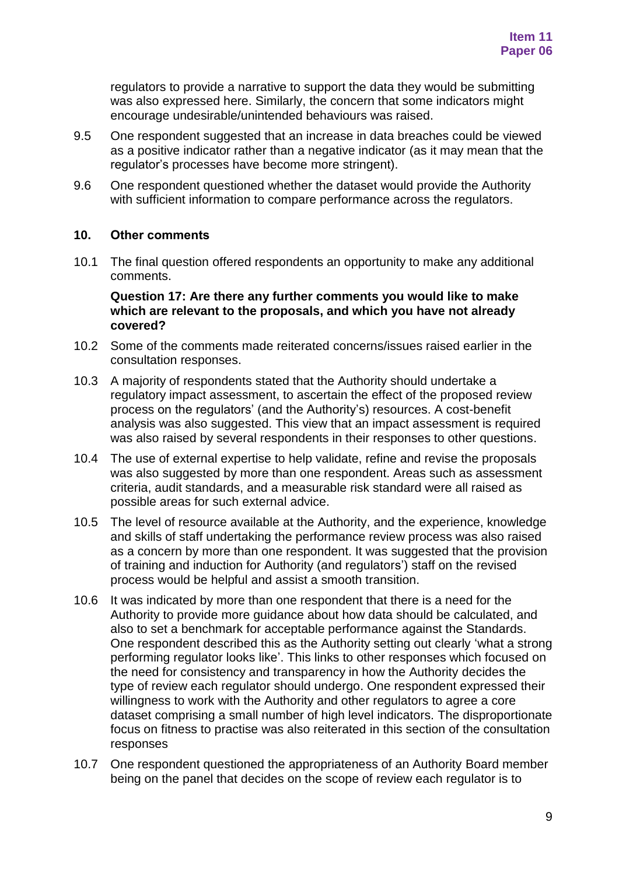regulators to provide a narrative to support the data they would be submitting was also expressed here. Similarly, the concern that some indicators might encourage undesirable/unintended behaviours was raised.

- 9.5 One respondent suggested that an increase in data breaches could be viewed as a positive indicator rather than a negative indicator (as it may mean that the regulator's processes have become more stringent).
- 9.6 One respondent questioned whether the dataset would provide the Authority with sufficient information to compare performance across the regulators.

### **10. Other comments**

10.1 The final question offered respondents an opportunity to make any additional comments.

**Question 17: Are there any further comments you would like to make which are relevant to the proposals, and which you have not already covered?**

- 10.2 Some of the comments made reiterated concerns/issues raised earlier in the consultation responses.
- 10.3 A majority of respondents stated that the Authority should undertake a regulatory impact assessment, to ascertain the effect of the proposed review process on the regulators' (and the Authority's) resources. A cost-benefit analysis was also suggested. This view that an impact assessment is required was also raised by several respondents in their responses to other questions.
- 10.4 The use of external expertise to help validate, refine and revise the proposals was also suggested by more than one respondent. Areas such as assessment criteria, audit standards, and a measurable risk standard were all raised as possible areas for such external advice.
- 10.5 The level of resource available at the Authority, and the experience, knowledge and skills of staff undertaking the performance review process was also raised as a concern by more than one respondent. It was suggested that the provision of training and induction for Authority (and regulators') staff on the revised process would be helpful and assist a smooth transition.
- 10.6 It was indicated by more than one respondent that there is a need for the Authority to provide more guidance about how data should be calculated, and also to set a benchmark for acceptable performance against the Standards. One respondent described this as the Authority setting out clearly 'what a strong performing regulator looks like'. This links to other responses which focused on the need for consistency and transparency in how the Authority decides the type of review each regulator should undergo. One respondent expressed their willingness to work with the Authority and other regulators to agree a core dataset comprising a small number of high level indicators. The disproportionate focus on fitness to practise was also reiterated in this section of the consultation responses
- 10.7 One respondent questioned the appropriateness of an Authority Board member being on the panel that decides on the scope of review each regulator is to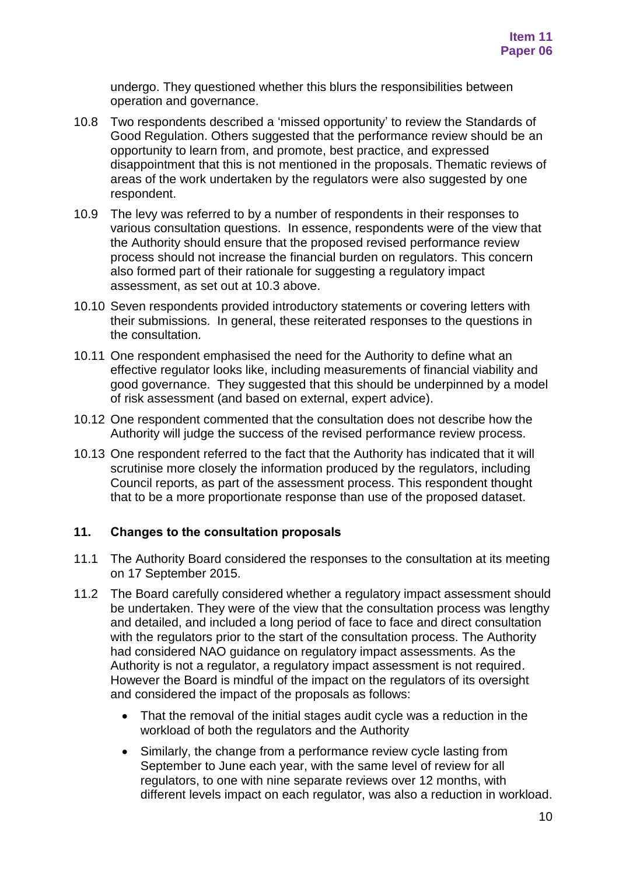undergo. They questioned whether this blurs the responsibilities between operation and governance.

- 10.8 Two respondents described a 'missed opportunity' to review the Standards of Good Regulation. Others suggested that the performance review should be an opportunity to learn from, and promote, best practice, and expressed disappointment that this is not mentioned in the proposals. Thematic reviews of areas of the work undertaken by the regulators were also suggested by one respondent.
- 10.9 The levy was referred to by a number of respondents in their responses to various consultation questions. In essence, respondents were of the view that the Authority should ensure that the proposed revised performance review process should not increase the financial burden on regulators. This concern also formed part of their rationale for suggesting a regulatory impact assessment, as set out at 10.3 above.
- 10.10 Seven respondents provided introductory statements or covering letters with their submissions. In general, these reiterated responses to the questions in the consultation.
- 10.11 One respondent emphasised the need for the Authority to define what an effective regulator looks like, including measurements of financial viability and good governance. They suggested that this should be underpinned by a model of risk assessment (and based on external, expert advice).
- 10.12 One respondent commented that the consultation does not describe how the Authority will judge the success of the revised performance review process.
- 10.13 One respondent referred to the fact that the Authority has indicated that it will scrutinise more closely the information produced by the regulators, including Council reports, as part of the assessment process. This respondent thought that to be a more proportionate response than use of the proposed dataset.

# **11. Changes to the consultation proposals**

- 11.1 The Authority Board considered the responses to the consultation at its meeting on 17 September 2015.
- 11.2 The Board carefully considered whether a regulatory impact assessment should be undertaken. They were of the view that the consultation process was lengthy and detailed, and included a long period of face to face and direct consultation with the regulators prior to the start of the consultation process. The Authority had considered NAO guidance on regulatory impact assessments. As the Authority is not a regulator, a regulatory impact assessment is not required. However the Board is mindful of the impact on the regulators of its oversight and considered the impact of the proposals as follows:
	- That the removal of the initial stages audit cycle was a reduction in the workload of both the regulators and the Authority
	- Similarly, the change from a performance review cycle lasting from September to June each year, with the same level of review for all regulators, to one with nine separate reviews over 12 months, with different levels impact on each regulator, was also a reduction in workload.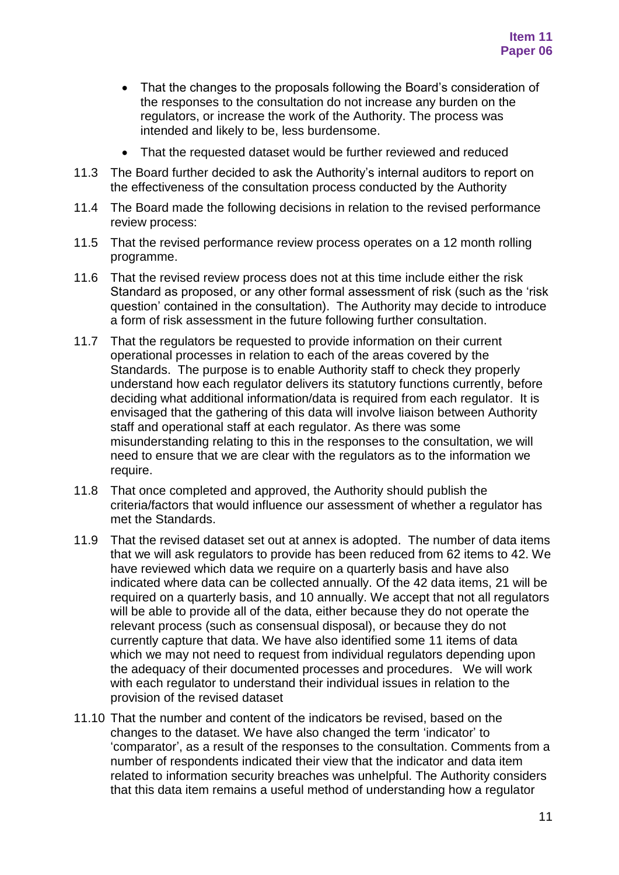- That the changes to the proposals following the Board's consideration of the responses to the consultation do not increase any burden on the regulators, or increase the work of the Authority. The process was intended and likely to be, less burdensome.
- That the requested dataset would be further reviewed and reduced
- 11.3 The Board further decided to ask the Authority's internal auditors to report on the effectiveness of the consultation process conducted by the Authority
- 11.4 The Board made the following decisions in relation to the revised performance review process:
- 11.5 That the revised performance review process operates on a 12 month rolling programme.
- 11.6 That the revised review process does not at this time include either the risk Standard as proposed, or any other formal assessment of risk (such as the 'risk question' contained in the consultation). The Authority may decide to introduce a form of risk assessment in the future following further consultation.
- 11.7 That the regulators be requested to provide information on their current operational processes in relation to each of the areas covered by the Standards. The purpose is to enable Authority staff to check they properly understand how each regulator delivers its statutory functions currently, before deciding what additional information/data is required from each regulator. It is envisaged that the gathering of this data will involve liaison between Authority staff and operational staff at each regulator. As there was some misunderstanding relating to this in the responses to the consultation, we will need to ensure that we are clear with the regulators as to the information we require.
- 11.8 That once completed and approved, the Authority should publish the criteria/factors that would influence our assessment of whether a regulator has met the Standards.
- 11.9 That the revised dataset set out at annex is adopted. The number of data items that we will ask regulators to provide has been reduced from 62 items to 42. We have reviewed which data we require on a quarterly basis and have also indicated where data can be collected annually. Of the 42 data items, 21 will be required on a quarterly basis, and 10 annually. We accept that not all regulators will be able to provide all of the data, either because they do not operate the relevant process (such as consensual disposal), or because they do not currently capture that data. We have also identified some 11 items of data which we may not need to request from individual regulators depending upon the adequacy of their documented processes and procedures. We will work with each regulator to understand their individual issues in relation to the provision of the revised dataset
- 11.10 That the number and content of the indicators be revised, based on the changes to the dataset. We have also changed the term 'indicator' to 'comparator', as a result of the responses to the consultation. Comments from a number of respondents indicated their view that the indicator and data item related to information security breaches was unhelpful. The Authority considers that this data item remains a useful method of understanding how a regulator